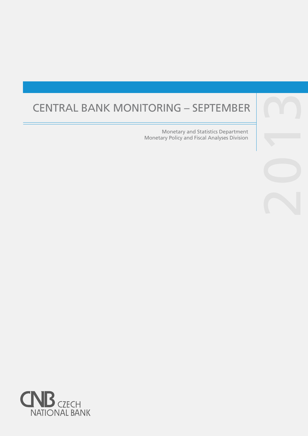# CENTRAL BANK MONITORING – SEPTEMBER

Monetary and Statistics Department Monetary Policy and Fiscal Analyses Division

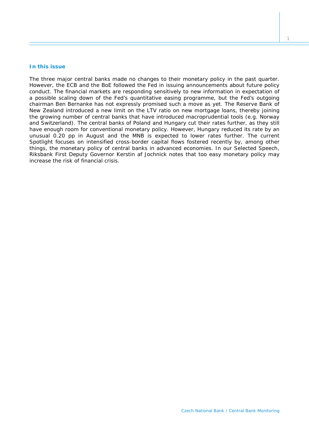## **In this issue**

*The three major central banks made no changes to their monetary policy in the past quarter. However, the ECB and the BoE followed the Fed in issuing announcements about future policy conduct. The financial markets are responding sensitively to new information in expectation of a possible scaling down of the Fed's quantitative easing programme, but the Fed's outgoing chairman Ben Bernanke has not expressly promised such a move as yet. The Reserve Bank of New Zealand introduced a new limit on the LTV ratio on new mortgage loans, thereby joining the growing number of central banks that have introduced macroprudential tools (e.g. Norway and Switzerland). The central banks of Poland and Hungary cut their rates further, as they still have enough room for conventional monetary policy. However, Hungary reduced its rate by an unusual 0.20 pp in August and the MNB is expected to lower rates further. The current*  Spotlight *focuses on intensified cross-border capital flows fostered recently by, among other things, the monetary policy of central banks in advanced economies. In our* Selected Speech*, Riksbank First Deputy Governor Kerstin af Jochnick notes that too easy monetary policy may increase the risk of financial crisis.*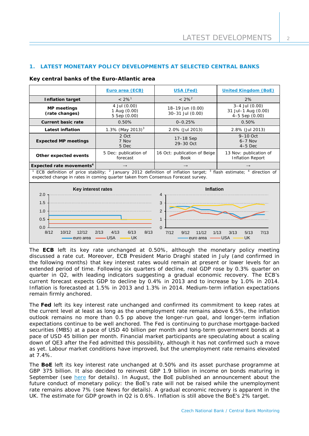# **1. LATEST MONETARY POLICY DEVELOPMENTS AT SELECTED CENTRAL BANKS**

|  |  |  | Key central banks of the Euro-Atlantic area |
|--|--|--|---------------------------------------------|
|--|--|--|---------------------------------------------|

|                                                                                                                                                                                                                                         | Euro area (ECB)                              | <b>USA (Fed)</b>                            | <b>United Kingdom (BoE)</b>                                 |  |  |
|-----------------------------------------------------------------------------------------------------------------------------------------------------------------------------------------------------------------------------------------|----------------------------------------------|---------------------------------------------|-------------------------------------------------------------|--|--|
| <b>Inflation target</b>                                                                                                                                                                                                                 | $< 2\%$ <sup>1</sup>                         | $< 2\%^{2}$                                 | 2%                                                          |  |  |
| <b>MP</b> meetings<br>(rate changes)                                                                                                                                                                                                    | 4 Jul (0.00)<br>1 Aug (0.00)<br>5 Sep (0.00) | 18-19 Jun (0.00)<br>30-31 Jul (0.00)        | $3-4$ Jul $(0.00)$<br>31 Jul-1 Aug (0.00)<br>4-5 Sep (0.00) |  |  |
| <b>Current basic rate</b>                                                                                                                                                                                                               | 0.50%                                        | $0 - 0.25%$                                 | 0.50%                                                       |  |  |
| <b>Latest inflation</b>                                                                                                                                                                                                                 | 1.3% (May 2013) <sup>3</sup>                 | 2.0% (Jul 2013)                             | 2.8% (Jul 2013)                                             |  |  |
| <b>Expected MP meetings</b>                                                                                                                                                                                                             | 2 Oct<br>7 Nov<br>5 Dec                      | 17-18 Sep<br>29-30 Oct                      | $9-10$ Oct<br>$6-7$ Nov<br>$4-5$ Dec                        |  |  |
| Other expected events                                                                                                                                                                                                                   | 5 Dec: publication of<br>forecast            | 16 Oct: publication of Beige<br><b>Book</b> | 13 Nov: publication of<br><b>Inflation Report</b>           |  |  |
| Expected rate movements <sup>4</sup>                                                                                                                                                                                                    | $\rightarrow$                                | $\rightarrow$                               |                                                             |  |  |
| ECB definition of price stability; <sup>2</sup> January 2012 definition of inflation target; <sup>3</sup> flash estimate; <sup>4</sup> direction of<br>expected change in rates in coming quarter taken from Consensus Forecast survey. |                                              |                                             |                                                             |  |  |
| Key interest rates                                                                                                                                                                                                                      |                                              | <b>Inflation</b>                            |                                                             |  |  |
| 2.0                                                                                                                                                                                                                                     |                                              | 4                                           |                                                             |  |  |
| 1.5                                                                                                                                                                                                                                     |                                              | 3                                           |                                                             |  |  |
| 1.0                                                                                                                                                                                                                                     |                                              | 2                                           |                                                             |  |  |
| 0.5                                                                                                                                                                                                                                     |                                              | 1                                           |                                                             |  |  |
| 0.0                                                                                                                                                                                                                                     |                                              | $\Omega$                                    |                                                             |  |  |
| 8/12<br>10/12<br>8/13<br>12/12<br>2/13<br>4/13<br>6/13<br>7/12<br>9/12<br>11/12<br>3/13<br>5/13<br>7/13<br>1/13<br><b>USA</b><br><b>USA</b><br>UK<br><b>UK</b><br>euro area<br>euro area                                                |                                              |                                             |                                                             |  |  |

The **ECB** left its key rate unchanged at 0.50%, although the monetary policy meeting discussed a rate cut. Moreover, ECB President Mario Draghi stated in July (and confirmed in the following months) that key interest rates would remain at present or lower levels for an extended period of time. Following six quarters of decline, real GDP rose by 0.3% quarter on quarter in Q2, with leading indicators suggesting a gradual economic recovery. The ECB's current forecast expects GDP to decline by 0.4% in 2013 and to increase by 1.0% in 2014. Inflation is forecasted at 1.5% in 2013 and 1.3% in 2014. Medium-term inflation expectations remain firmly anchored.

The **Fed** left its key interest rate unchanged and confirmed its commitment to keep rates at the current level at least as long as the unemployment rate remains above 6.5%, the inflation outlook remains no more than 0.5 pp above the longer-run goal, and longer-term inflation expectations continue to be well anchored. The Fed is continuing to purchase mortgage-backed securities (MBS) at a pace of USD 40 billion per month and long-term government bonds at a pace of USD 45 billion per month. Financial market participants are speculating about a scaling down of QE3 after the Fed admitted this possibility, although it has not confirmed such a move as yet. Labour market conditions have improved, but the unemployment rate remains elevated at 7.4%.

The **BoE** left its key interest rate unchanged at 0.50% and its asset purchase programme at GBP 375 billion. It also decided to reinvest GBP 1.9 billion in income on bonds maturing in September (see [here](http://www.bankofengland.co.uk/markets/Documents/marketnotice130905.pdf) for details). In August, the BoE published an announcement about the future conduct of monetary policy: the BoE's rate will not be raised while the unemployment rate remains above 7% (see *News* for details). A gradual economic recovery is apparent in the UK. The estimate for GDP growth in Q2 is 0.6%. Inflation is still above the BoE's 2% target.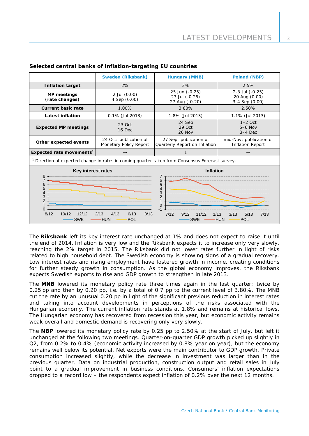|                                                                                                                                                                                | <b>Sweden (Riksbank)</b>                         | <b>Hungary (MNB)</b>                                    | Poland (NBP)                                       |  |  |
|--------------------------------------------------------------------------------------------------------------------------------------------------------------------------------|--------------------------------------------------|---------------------------------------------------------|----------------------------------------------------|--|--|
| <b>Inflation target</b>                                                                                                                                                        | 2%                                               | 3%                                                      | 2.5%                                               |  |  |
| <b>MP</b> meetings<br>(rate changes)                                                                                                                                           | 2 Jul (0.00)<br>4 Sep (0.00)                     | 25 Jun (-0.25)<br>23 Jul (-0.25)<br>27 Aug (-0.20)      | 2-3 Jul (-0.25)<br>20 Aug (0.00)<br>3-4 Sep (0.00) |  |  |
| <b>Current basic rate</b>                                                                                                                                                      | 1.00%                                            | 3.80%                                                   | 2.50%                                              |  |  |
| <b>Latest inflation</b>                                                                                                                                                        | 0.1% (Jul 2013)                                  | 1.8% (Jul 2013)                                         | 1.1% (Jul 2013)                                    |  |  |
| <b>Expected MP meetings</b>                                                                                                                                                    | 23 Oct<br>16 Dec                                 | 24 Sep<br>29 Oct<br>$26$ Nov                            | $1-2$ Oct<br>$5-6$ Nov<br>$3-4$ Dec                |  |  |
| Other expected events                                                                                                                                                          | 24 Oct: publication of<br>Monetary Policy Report | 27 Sep: publication of<br>Quarterly Report on Inflation | mid-Nov: publication of<br><b>Inflation Report</b> |  |  |
| Expected rate movements <sup>1</sup>                                                                                                                                           | $\rightarrow$                                    |                                                         | $\rightarrow$                                      |  |  |
| <sup>1</sup> Direction of expected change in rates in coming quarter taken from Consensus Forecast survey.                                                                     |                                                  |                                                         |                                                    |  |  |
| <b>Key interest rates</b><br>$\frac{8}{7}$<br>6<br>5<br>4<br>3<br>$\overline{2}$<br>$\mathbf{1}$<br>$\Omega$                                                                   |                                                  | Inflation<br>6<br>5<br>0                                |                                                    |  |  |
| 8/12<br>8/13<br>7/12<br>10/12<br>12/12<br>2/13<br>4/13<br>6/13<br>11/12<br>1/13<br>3/13<br>5/13<br>7/13<br>9/12<br><b>SWE</b><br><b>HUN</b><br>POL<br>HUN<br>POL<br><b>SWE</b> |                                                  |                                                         |                                                    |  |  |

# **Selected central banks of inflation-targeting EU countries**

The **Riksbank** left its key interest rate unchanged at 1% and does not expect to raise it until the end of 2014. Inflation is very low and the Riksbank expects it to increase only very slowly, reaching the 2% target in 2015. The Riksbank did not lower rates further in light of risks related to high household debt. The Swedish economy is showing signs of a gradual recovery. Low interest rates and rising employment have fostered growth in income, creating conditions for further steady growth in consumption. As the global economy improves, the Riksbank expects Swedish exports to rise and GDP growth to strengthen in late 2013.

The **MNB** lowered its monetary policy rate three times again in the last quarter: twice by 0.25 pp and then by 0.20 pp, i.e. by a total of 0.7 pp to the current level of 3.80%. The MNB cut the rate by an unusual 0.20 pp in light of the significant previous reduction in interest rates and taking into account developments in perceptions of the risks associated with the Hungarian economy. The current inflation rate stands at 1.8% and remains at historical lows. The Hungarian economy has recovered from recession this year, but economic activity remains weak overall and domestic demand is recovering only very slowly.

The **NBP** lowered its monetary policy rate by 0.25 pp to 2.50% at the start of July, but left it unchanged at the following two meetings. Quarter-on-quarter GDP growth picked up slightly in Q2, from 0.2% to 0.4% (economic activity increased by 0.8% year on year), but the economy remains well below its potential. Net exports were the main contributor to GDP growth. Private consumption increased slightly, while the decrease in investment was larger than in the previous quarter. Data on industrial production, construction output and retail sales in July point to a gradual improvement in business conditions. Consumers' inflation expectations dropped to a record low – the respondents expect inflation of 0.2% over the next 12 months.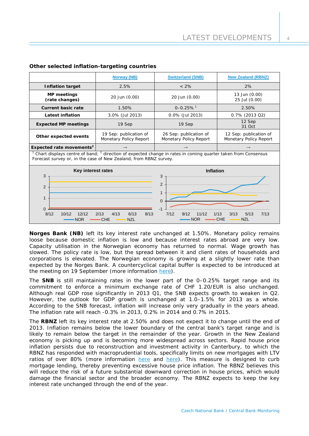|                                                                                                                                                                                                                  | <b>Norway (NB)</b>                               | <b>Switzerland (SNB)</b>                         | <b>New Zealand (RBNZ)</b>                        |  |  |
|------------------------------------------------------------------------------------------------------------------------------------------------------------------------------------------------------------------|--------------------------------------------------|--------------------------------------------------|--------------------------------------------------|--|--|
| <b>Inflation target</b><br>2.5%                                                                                                                                                                                  |                                                  | $< 2\%$                                          | 2%                                               |  |  |
| <b>MP</b> meetings<br>20 Jun (0.00)<br>(rate changes)                                                                                                                                                            |                                                  | 20 Jun (0.00)                                    | 13 Jun (0.00)<br>25 Jul (0.00)                   |  |  |
| <b>Current basic rate</b>                                                                                                                                                                                        | 1.50%                                            |                                                  | 2.50%                                            |  |  |
| <b>Latest inflation</b><br>3.0% (Jul 2013)                                                                                                                                                                       |                                                  | 0.0% (Jul 2013)                                  | 0.7% (2013 Q2)                                   |  |  |
| <b>Expected MP meetings</b>                                                                                                                                                                                      | 19 Sep                                           | 19 Sep                                           | 12 Sep<br>31 Oct                                 |  |  |
| Other expected events                                                                                                                                                                                            | 19 Sep: publication of<br>Monetary Policy Report | 26 Sep: publication of<br>Monetary Policy Report | 12 Sep: publication of<br>Monetary Policy Report |  |  |
| Expected rate movements <sup>2</sup>                                                                                                                                                                             | $\rightarrow$                                    | $\rightarrow$                                    | $\rightarrow$                                    |  |  |
| Chart displays centre of band; <sup>2</sup> direction of expected change in rates in coming quarter taken from Consensus<br>Forecast survey or, in the case of New Zealand, from RBNZ survey.                    |                                                  |                                                  |                                                  |  |  |
| Key interest rates<br>3                                                                                                                                                                                          |                                                  | <b>Inflation</b><br>3                            |                                                  |  |  |
| 2<br>2<br>$\mathbf{1}$<br>1<br>$\Omega$                                                                                                                                                                          |                                                  |                                                  |                                                  |  |  |
| $\Omega$<br>$-1$<br>8/12<br>10/12<br>12/12<br>2/13<br>4/13<br>6/13<br>8/13<br>7/12<br>11/12<br>5/13<br>7/13<br>9/12<br>1/13<br>3/13<br><b>CHE</b><br><b>NZL</b><br>CHE<br><b>NOR</b><br><b>NOR</b><br><b>NZL</b> |                                                  |                                                  |                                                  |  |  |

## **Other selected inflation-targeting countries**

**Norges Bank (NB)** left its key interest rate unchanged at 1.50%. Monetary policy remains loose because domestic inflation is low and because interest rates abroad are very low. Capacity utilisation in the Norwegian economy has returned to normal. Wage growth has slowed. The policy rate is low, but the spread between it and client rates of households and corporations is elevated. The Norwegian economy is growing at a slightly lower rate than expected by the Norges Bank. A countercyclical capital buffer is expected to be introduced at the meeting on 19 September (more information [here\)](http://www.norges-bank.no/en/about/published/press-releases/2013/capital-buffer/).

The **SNB** is still maintaining rates in the lower part of the 0–0.25% target range and its commitment to enforce a minimum exchange rate of CHF 1.20/EUR is also unchanged. Although real GDP rose significantly in 2013 Q1, the SNB expects growth to weaken in Q2. However, the outlook for GDP growth is unchanged at 1.0–1.5% for 2013 as a whole. According to the SNB forecast, inflation will increase only very gradually in the years ahead. The inflation rate will reach -0.3% in 2013, 0.2% in 2014 and 0.7% in 2015.

The **RBNZ** left its key interest rate at 2.50% and does not expect it to change until the end of 2013. Inflation remains below the lower boundary of the central bank's target range and is likely to remain below the target in the remainder of the year. Growth in the New Zealand economy is picking up and is becoming more widespread across sectors. Rapid house price inflation persists due to reconstruction and investment activity in Canterbury, to which the RBNZ has responded with macroprudential tools, specifically limits on new mortgages with LTV ratios of over 80% (more information [here](http://www.rbnz.govt.nz/news/2013/5396734.html) and [here\)](http://www.rbnz.govt.nz/news/2013/5406716.html). This measure is designed to curb mortgage lending, thereby preventing excessive house price inflation. The RBNZ believes this will reduce the risk of a future substantial downward correction in house prices, which would damage the financial sector and the broader economy. The RBNZ expects to keep the key interest rate unchanged through the end of the year.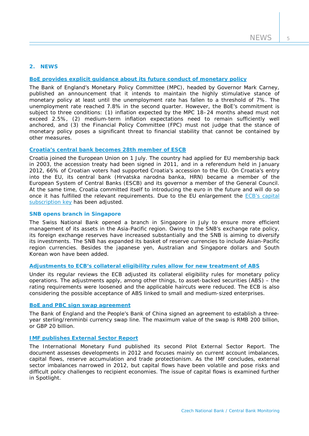## **2. NEWS**

# **[BoE provides explicit](http://www.bankofengland.co.uk/publications/Pages/news/2013/096.aspx) guidance about its future conduct of monetary policy**

The Bank of England's Monetary Policy Committee (MPC), headed by Governor Mark Carney, published an announcement that it intends to maintain the highly stimulative stance of monetary policy at least until the unemployment rate has fallen to a threshold of 7%. The unemployment rate reached 7.8% in the second quarter. However, the BoE's commitment is subject to three conditions: (1) inflation expected by the MPC 18–24 months ahead must not exceed 2.5%, (2) medium-term inflation expectations need to remain sufficiently well anchored, and (3) the Financial Policy Committee (FPC) must not judge that the stance of monetary policy poses a significant threat to financial stability that cannot be contained by other measures.

#### **[Croatia's central bank becomes 28th member of ESCB](http://www.ecb.europa.eu/press/pr/date/2013/html/pr130701.en.html)**

Croatia joined the European Union on 1 July. The country had applied for EU membership back in 2003, the accession treaty had been signed in 2011, and in a referendum held in January 2012, 66% of Croatian voters had supported Croatia's accession to the EU. On Croatia's entry into the EU, its central bank (Hrvatska narodna banka, HRN) became a member of the European System of Central Banks (ESCB) and its governor a member of the General Council. At the same time, Croatia committed itself to introducing the euro in the future and will do so once it has fulfilled the relevant requirements. Due to the EU enlargement the [ECB's capital](http://www.ecb.europa.eu/press/pr/date/2013/html/pr130701_1.en.html)  [subscription key](http://www.ecb.europa.eu/press/pr/date/2013/html/pr130701_1.en.html) has been adjusted.

#### **SNB opens branch in Singapore**

The Swiss National Bank opened a branch in Singapore in July to ensure more efficient management of its assets in the Asia-Pacific region. Owing to the SNB's exchange rate policy, its foreign exchange reserves have increased substantially and the SNB is aiming to diversify its investments. The SNB has expanded its basket of reserve currencies to include Asian-Pacific region currencies. Besides the japanese yen, Australian and Singapore dollars and South Korean won have been added.

# **Adjustments to [ECB's collateral eligibility rules allow for new treatment of ABS](http://www.ecb.europa.eu/press/pr/date/2013/html/pr130718.en.html)**

Under its regular reviews the ECB adjusted its collateral eligibility rules for monetary policy operations. The adjustments apply, among other things, to asset-backed securities (ABS) – the rating requirements were loosened and the applicable haircuts were reduced. The ECB is also considering the possible acceptance of ABS linked to small and medium-sized enterprises.

#### **BoE and PBC [sign swap agreement](http://www.bankofengland.co.uk/publications/Pages/news/2013/082.aspx)**

The Bank of England and the People's Bank of China signed an agreement to establish a threeyear sterling/renminbi currency swap line. The maximum value of the swap is RMB 200 billion, or GBP 20 billion.

## **IMF publishes [External Sector Report](http://www.imf.org/external/np/pp/eng/2013/062013.pdf)**

The International Monetary Fund published its second Pilot External Sector Report. The document assesses developments in 2012 and focuses mainly on current account imbalances, capital flows, reserve accumulation and trade protectionism. As the IMF concludes, external sector imbalances narrowed in 2012, but capital flows have been volatile and pose risks and difficult policy challenges to recipient economies. The issue of capital flows is examined further in *Spotlight*.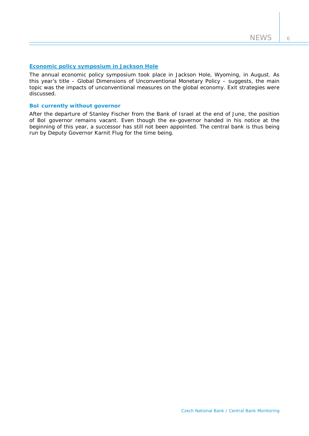# **[Economic policy symposium in](http://www.kansascityfed.org/publications/research/escp/escp-2013.cfm) Jackson Hole**

The annual economic policy symposium took place in Jackson Hole, Wyoming, in August. As this year's title - Global Dimensions of Unconventional Monetary Policy - suggests, the main topic was the impacts of unconventional measures on the global economy. Exit strategies were discussed.

## **BoI currently without governor**

After the departure of Stanley Fischer from the Bank of Israel at the end of June, the position of BoI governor remains vacant. Even though the ex-governor handed in his notice at the beginning of this year, a successor has still not been appointed. The central bank is thus being run by Deputy Governor Karnit Flug for the time being.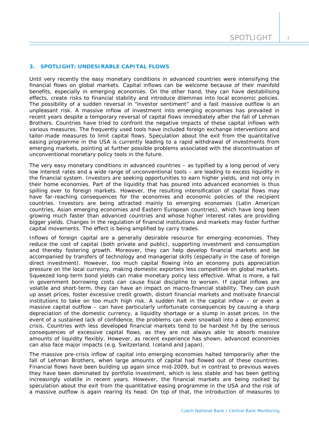## **3. SPOTLIGHT: UNDESIRABLE CAPITAL FLOWS**

*Until very recently the easy monetary conditions in advanced countries were intensifying the financial flows on global markets. Capital inflows can be welcome because of their manifold benefits, especially in emerging economies. On the other hand, they can have destabilising effects, create risks to financial stability and introduce dilemmas into local economic policies. The possibility of a sudden reversal in "investor sentiment" and a fast massive outflow is an unpleasant risk. A massive inflow of investment into emerging economies has prevailed in recent years despite a temporary reversal of capital flows immediately after the fall of Lehman Brothers. Countries have tried to confront the negative impacts of these capital inflows with various measures. The frequently used tools have included foreign exchange interventions and tailor-made measures to limit capital flows. Speculation about the exit from the quantitative easing programme in the USA is currently leading to a rapid withdrawal of investments from emerging markets, pointing at further possible problems associated with the discontinuation of unconventional monetary policy tools in the future.*

The very easy monetary conditions in advanced countries – as typified by a long period of very low interest rates and a wide range of unconventional tools – are leading to excess liquidity in the financial system. Investors are seeking opportunities to earn higher yields, and not only in their home economies. Part of the liquidity that has poured into advanced economies is thus spilling over to foreign markets. However, the resulting intensification of capital flows may have far-reaching consequences for the economies and economic policies of the recipient countries. Investors are being attracted mainly to emerging economies (Latin American countries, Asian emerging economies and Eastern European countries), which have long been growing much faster than advanced countries and whose higher interest rates are providing bigger yields. Changes in the regulation of financial institutions and markets may foster further capital movements. The effect is being amplified by carry trades.

Inflows of foreign capital are a generally desirable resource for emerging economies. They reduce the cost of capital (both private and public), supporting investment and consumption and thereby fostering growth. Moreover, they can help develop financial markets and be accompanied by transfers of technology and managerial skills (especially in the case of foreign direct investment). However, too much capital flowing into an economy puts appreciation pressure on the local currency, making domestic exporters less competitive on global markets. Squeezed long-term bond yields can make monetary policy less effective. What is more, a fall in government borrowing costs can cause fiscal discipline to worsen. If capital inflows are volatile and short-term, they can have an impact on macro-financial stability. They can push up asset prices, foster excessive credit growth, distort financial markets and motivate financial institutions to take on too much high risk. A sudden halt in the capital inflow – or even a massive capital outflow – can have particularly unfortunate consequences by causing a sharp depreciation of the domestic currency, a liquidity shortage or a slump in asset prices. In the event of a sustained lack of confidence, the problems can even snowball into a deep economic crisis. Countries with less developed financial markets tend to be hardest hit by the serious consequences of excessive capital flows, as they are not always able to absorb massive amounts of liquidity flexibly. However, as recent experience has shown, advanced economies can also face major impacts (e.g. Switzerland, Iceland and Japan).

The massive pre-crisis inflow of capital into emerging economies halted temporarily after the fall of Lehman Brothers, when large amounts of capital had flowed out of these countries. Financial flows have been building up again since mid-2009, but in contrast to previous waves they have been dominated by portfolio investment, which is less stable and has been getting increasingly volatile in recent years. However, the financial markets are being rocked by speculation about the exit from the quantitative easing programme in the USA and the risk of a massive outflow is again rearing its head. On top of that, the introduction of measures to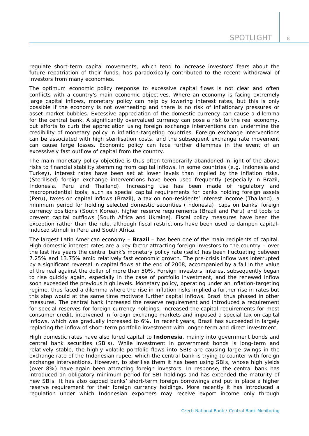regulate short-term capital movements, which tend to increase investors' fears about the future repatriation of their funds, has paradoxically contributed to the recent withdrawal of investors from many economies.

The optimum economic policy response to excessive capital flows is not clear and often conflicts with a country's main economic objectives. Where an economy is facing extremely large capital inflows, monetary policy can help by lowering interest rates, but this is only possible if the economy is not overheating and there is no risk of inflationary pressures or asset market bubbles. Excessive appreciation of the domestic currency can cause a dilemma for the central bank. A significantly overvalued currency can pose a risk to the real economy, but efforts to curb the appreciation using foreign exchange interventions can undermine the credibility of monetary policy in inflation-targeting countries. Foreign exchange interventions can be associated with high sterilisation costs, and the subsequent exchange rate movement can cause large losses. Economic policy can face further dilemmas in the event of an excessively fast outflow of capital from the country.

The main monetary policy objective is thus often temporarily abandoned in light of the above risks to financial stability stemming from capital inflows. In some countries (e.g. Indonesia and Turkey), interest rates have been set at lower levels than implied by the inflation risks. (Sterilised) foreign exchange interventions have been used frequently (especially in Brazil, Indonesia, Peru and Thailand). Increasing use has been made of regulatory and macroprudential tools, such as special capital requirements for banks holding foreign assets (Peru), taxes on capital inflows (Brazil), a tax on non-residents' interest income (Thailand), a minimum period for holding selected domestic securities (Indonesia), caps on banks' foreign currency positions (South Korea), higher reserve requirements (Brazil and Peru) and tools to prevent capital outflows (South Africa and Ukraine). Fiscal policy measures have been the exception rather than the rule, although fiscal restrictions have been used to dampen capitalinduced stimuli in Peru and South Africa.

The largest Latin American economy – *Brazil* – has been one of the main recipients of capital. High domestic interest rates are a key factor attracting foreign investors to the country – over the last five years the central bank's monetary policy rate (*selic*) has been fluctuating between 7.25% and 13.75% amid relatively fast economic growth. The pre-crisis inflow was interrupted by a significant reversal in capital flows at the end of 2008, accompanied by a fall in the value of the real against the dollar of more than 50%. Foreign investors' interest subsequently began to rise quickly again, especially in the case of portfolio investment, and the renewed inflow soon exceeded the previous high levels. Monetary policy, operating under an inflation-targeting regime, thus faced a dilemma where the rise in inflation risks implied a further rise in rates but this step would at the same time motivate further capital inflows. Brazil thus phased in other measures. The central bank increased the reserve requirement and introduced a requirement for special reserves for foreign currency holdings, increased the capital requirements for most consumer credit, intervened in foreign exchange markets and imposed a special tax on capital inflows, which was gradually increased to 6%. In recent years, Brazil has succeeded in largely replacing the inflow of short-term portfolio investment with longer-term and direct investment.

High domestic rates have also lured capital to *Indonesia*, mainly into government bonds and central bank securities (SBIs). While investment in government bonds is long-term and relatively stable, the highly volatile portfolio flows into SBIs are causing large swings in the exchange rate of the Indonesian rupee, which the central bank is trying to counter with foreign exchange interventions. However, to sterilise them it has been using SBIs, whose high yields (over 8%) have again been attracting foreign investors. In response, the central bank has introduced an obligatory minimum period for SBI holdings and has extended the maturity of new SBIs. It has also capped banks' short-term foreign borrowings and put in place a higher reserve requirement for their foreign currency holdings. More recently it has introduced a regulation under which Indonesian exporters may receive export income only through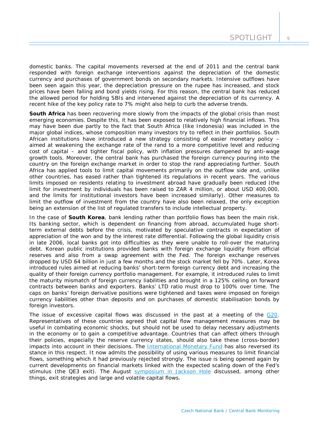domestic banks. The capital movements reversed at the end of 2011 and the central bank responded with foreign exchange interventions against the depreciation of the domestic currency and purchases of government bonds on secondary markets. Intensive outflows have been seen again this year, the depreciation pressure on the rupee has increased, and stock prices have been falling and bond yields rising. For this reason, the central bank has reduced the allowed period for holding SBIs and intervened against the depreciation of its currency. A recent hike of the key policy rate to 7% might also help to curb the adverse trends.

**South Africa** has been recovering more slowly from the impacts of the global crisis than most emerging economies. Despite this, it has been exposed to relatively high financial inflows. This may have been due partly to the fact that South Africa (like Indonesia) was included in the major global indices, whose composition many investors try to reflect in their portfolios. South African institutions have introduced a new strategy consisting of easier monetary policy – aimed at weakening the exchange rate of the rand to a more competitive level and reducing cost of capital – and tighter fiscal policy, with inflation pressures dampened by anti-wage growth tools. Moreover, the central bank has purchased the foreign currency pouring into the country on the foreign exchange market in order to stop the rand appreciating further. South Africa has applied tools to limit capital movements primarily on the outflow side and, unlike other countries, has eased rather than tightened its regulations in recent years. The various limits imposed on residents relating to investment abroad have gradually been reduced (the limit for investment by individuals has been raised to ZAR 4 million, or about USD 400,000, and the limits for institutional investors have been increased similarly). Other measures to limit the outflow of investment from the country have also been relaxed, the only exception being an extension of the list of regulated transfers to include intellectual property.

In the case of *South Korea*, bank lending rather than portfolio flows has been the main risk. Its banking sector, which is dependent on financing from abroad, accumulated huge shortterm external debts before the crisis, motivated by speculative contracts in expectation of appreciation of the won and by the interest rate differential. Following the global liquidity crisis in late 2006, local banks got into difficulties as they were unable to roll-over the maturing debt. Korean public institutions provided banks with foreign exchange liquidity from official reserves and also from a swap agreement with the Fed. The foreign exchange reserves dropped by USD 64 billion in just a few months and the stock market fell by 70%. Later, Korea introduced rules aimed at reducing banks' short-term foreign currency debt and increasing the quality of their foreign currency portfolio management. For example, it introduced rules to limit the maturity mismatch of foreign currency liabilities and brought in a 125% ceiling on forward contracts between banks and exporters. Banks' LTD ratio must drop to 100% over time. The caps on banks' foreign derivative positions were tightened and taxes were imposed on foreign currency liabilities other than deposits and on purchases of domestic stabilisation bonds by foreign investors.

The issue of excessive capital flows was discussed in the past at a meeting of the [G20.](http://www.g20.utoronto.ca/2011/2011-finance-capital-flows-111015-en.pdf) Representatives of these countries agreed that capital flow management measures may be useful in combating economic shocks, but should not be used to delay necessary adjustments in the economy or to gain a competitive advantage. Countries that can affect others through their policies, especially the reserve currency states, should also take these (cross-border) impacts into account in their decisions. The [International Monetary Fund](http://www.imf.org/external/pp/longres.aspx?id=4720) has also reversed its stance in this respect. It now admits the possibility of using various measures to limit financial flows, something which it had previously rejected strongly. The issue is being opened again by current developments on financial markets linked with the expected scaling down of the Fed's stimulus (the QE3 exit). The August symposium [in Jackson Hole](http://www.kansascityfed.org/publications/research/escp/escp-2013.cfm) discussed, among other things, exit strategies and large and volatile capital flows.